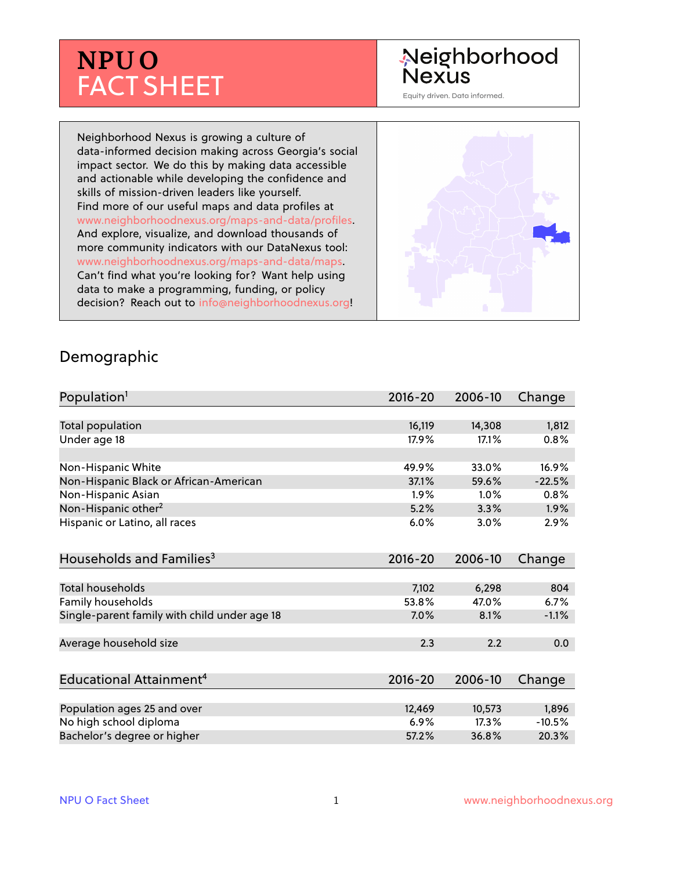# **NPU O** FACT SHEET

## Neighborhood **Nexus**

Equity driven. Data informed.

Neighborhood Nexus is growing a culture of data-informed decision making across Georgia's social impact sector. We do this by making data accessible and actionable while developing the confidence and skills of mission-driven leaders like yourself. Find more of our useful maps and data profiles at www.neighborhoodnexus.org/maps-and-data/profiles. And explore, visualize, and download thousands of more community indicators with our DataNexus tool: www.neighborhoodnexus.org/maps-and-data/maps. Can't find what you're looking for? Want help using data to make a programming, funding, or policy decision? Reach out to [info@neighborhoodnexus.org!](mailto:info@neighborhoodnexus.org)



#### Demographic

| Population <sup>1</sup>                      | $2016 - 20$ | 2006-10 | Change   |
|----------------------------------------------|-------------|---------|----------|
|                                              |             |         |          |
| Total population                             | 16,119      | 14,308  | 1,812    |
| Under age 18                                 | 17.9%       | 17.1%   | 0.8%     |
| Non-Hispanic White                           | 49.9%       | 33.0%   | 16.9%    |
| Non-Hispanic Black or African-American       | 37.1%       | 59.6%   | $-22.5%$ |
| Non-Hispanic Asian                           | 1.9%        | $1.0\%$ | 0.8%     |
| Non-Hispanic other <sup>2</sup>              | 5.2%        | 3.3%    | $1.9\%$  |
| Hispanic or Latino, all races                | 6.0%        | 3.0%    | 2.9%     |
| Households and Families <sup>3</sup>         | $2016 - 20$ | 2006-10 | Change   |
| <b>Total households</b>                      | 7,102       | 6,298   | 804      |
| Family households                            | 53.8%       | 47.0%   | 6.7%     |
| Single-parent family with child under age 18 | 7.0%        | 8.1%    | $-1.1%$  |
| Average household size                       | 2.3         | 2.2     | 0.0      |
|                                              |             |         |          |
| Educational Attainment <sup>4</sup>          | $2016 - 20$ | 2006-10 | Change   |
| Population ages 25 and over                  | 12,469      | 10,573  | 1,896    |
|                                              | 6.9%        | 17.3%   | $-10.5%$ |
| No high school diploma                       |             |         |          |
| Bachelor's degree or higher                  | 57.2%       | 36.8%   | 20.3%    |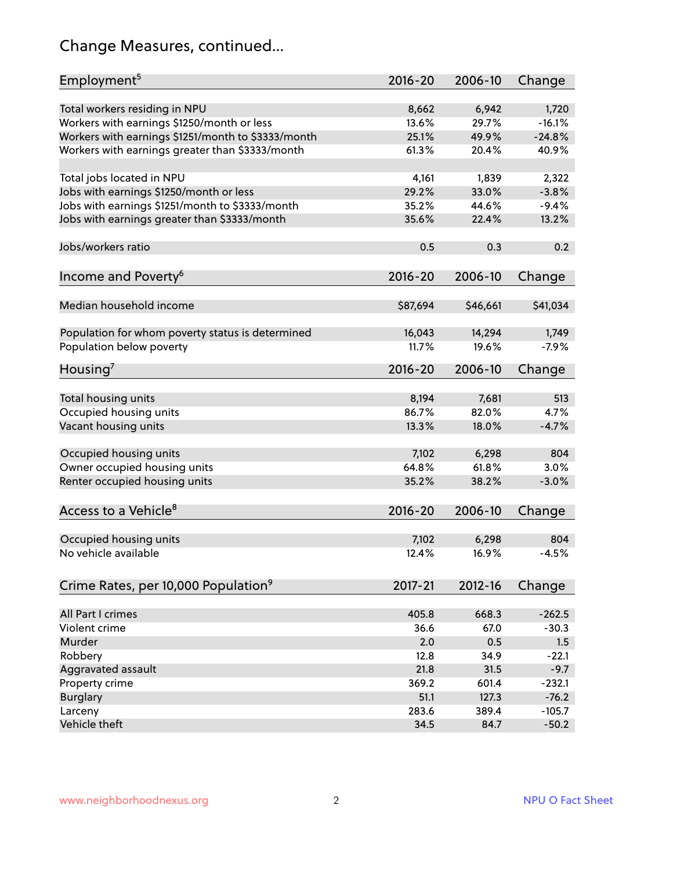## Change Measures, continued...

| Employment <sup>5</sup>                            | $2016 - 20$ | 2006-10     | Change   |
|----------------------------------------------------|-------------|-------------|----------|
|                                                    |             |             |          |
| Total workers residing in NPU                      | 8,662       | 6,942       | 1,720    |
| Workers with earnings \$1250/month or less         | 13.6%       | 29.7%       | $-16.1%$ |
| Workers with earnings \$1251/month to \$3333/month | 25.1%       | 49.9%       | $-24.8%$ |
| Workers with earnings greater than \$3333/month    | 61.3%       | 20.4%       | 40.9%    |
| Total jobs located in NPU                          | 4,161       | 1,839       | 2,322    |
| Jobs with earnings \$1250/month or less            | 29.2%       | 33.0%       | $-3.8%$  |
| Jobs with earnings \$1251/month to \$3333/month    | 35.2%       | 44.6%       | $-9.4%$  |
| Jobs with earnings greater than \$3333/month       | 35.6%       | 22.4%       | 13.2%    |
|                                                    |             |             |          |
| Jobs/workers ratio                                 | 0.5         | 0.3         | 0.2      |
| Income and Poverty <sup>6</sup>                    | $2016 - 20$ | 2006-10     | Change   |
|                                                    |             |             |          |
| Median household income                            | \$87,694    | \$46,661    | \$41,034 |
|                                                    |             |             |          |
| Population for whom poverty status is determined   | 16,043      | 14,294      | 1,749    |
| Population below poverty                           | 11.7%       | 19.6%       | $-7.9%$  |
|                                                    |             |             |          |
| Housing <sup>7</sup>                               | $2016 - 20$ | 2006-10     | Change   |
| Total housing units                                | 8,194       | 7,681       | 513      |
| Occupied housing units                             | 86.7%       | 82.0%       | 4.7%     |
| Vacant housing units                               | 13.3%       | 18.0%       | $-4.7%$  |
|                                                    |             |             |          |
| Occupied housing units                             | 7,102       | 6,298       | 804      |
| Owner occupied housing units                       | 64.8%       | 61.8%       | 3.0%     |
| Renter occupied housing units                      | 35.2%       | 38.2%       | $-3.0%$  |
|                                                    |             |             |          |
| Access to a Vehicle <sup>8</sup>                   | $2016 - 20$ | 2006-10     | Change   |
|                                                    |             |             |          |
| Occupied housing units                             | 7,102       | 6,298       | 804      |
| No vehicle available                               | 12.4%       | 16.9%       | $-4.5%$  |
|                                                    |             |             |          |
| Crime Rates, per 10,000 Population <sup>9</sup>    | 2017-21     | $2012 - 16$ | Change   |
|                                                    |             |             |          |
| All Part I crimes                                  | 405.8       | 668.3       | $-262.5$ |
| Violent crime                                      | 36.6        | 67.0        | $-30.3$  |
| Murder                                             | 2.0         | 0.5         | 1.5      |
| Robbery                                            | 12.8        | 34.9        | $-22.1$  |
| Aggravated assault                                 | 21.8        | 31.5        | $-9.7$   |
| Property crime                                     | 369.2       | 601.4       | $-232.1$ |
| <b>Burglary</b>                                    | 51.1        | 127.3       | $-76.2$  |
| Larceny                                            | 283.6       | 389.4       | $-105.7$ |
| Vehicle theft                                      | 34.5        | 84.7        | $-50.2$  |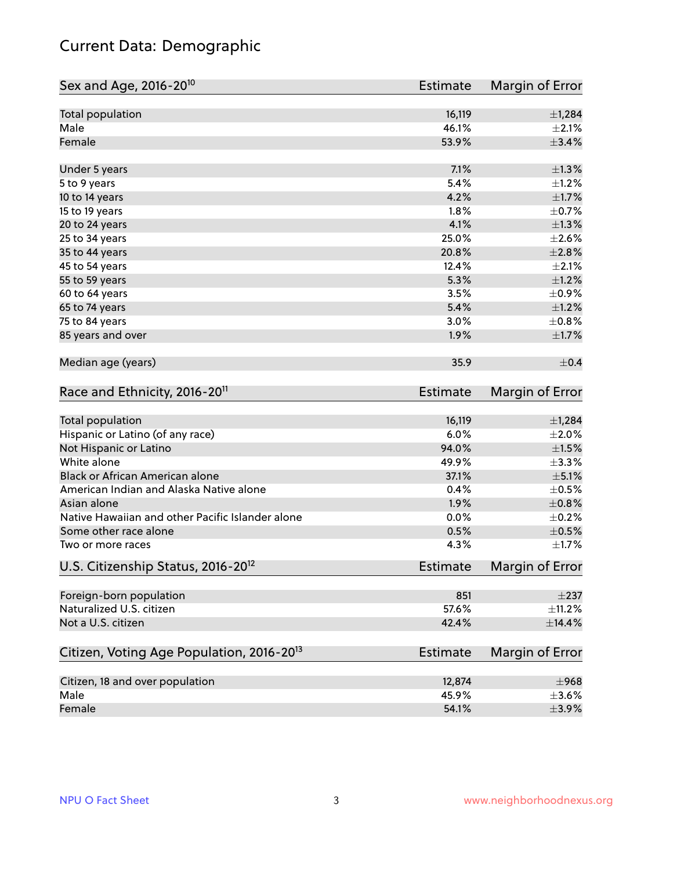## Current Data: Demographic

| Sex and Age, 2016-20 <sup>10</sup>                    | <b>Estimate</b> | Margin of Error |
|-------------------------------------------------------|-----------------|-----------------|
| Total population                                      | 16,119          | ±1,284          |
| Male                                                  | 46.1%           | $\pm 2.1\%$     |
| Female                                                | 53.9%           | $\pm$ 3.4%      |
| Under 5 years                                         | 7.1%            | $\pm 1.3\%$     |
| 5 to 9 years                                          | 5.4%            | $\pm 1.2\%$     |
| 10 to 14 years                                        | 4.2%            | $\pm1.7\%$      |
| 15 to 19 years                                        | 1.8%            | $\pm$ 0.7%      |
| 20 to 24 years                                        | 4.1%            | $\pm 1.3\%$     |
| 25 to 34 years                                        | 25.0%           | $\pm 2.6\%$     |
| 35 to 44 years                                        | 20.8%           | ±2.8%           |
| 45 to 54 years                                        | 12.4%           | $\pm 2.1\%$     |
| 55 to 59 years                                        | 5.3%            | $\pm 1.2\%$     |
| 60 to 64 years                                        | 3.5%            | $\pm$ 0.9%      |
| 65 to 74 years                                        | 5.4%            | $\pm 1.2\%$     |
| 75 to 84 years                                        | 3.0%            | $\pm$ 0.8%      |
| 85 years and over                                     | 1.9%            | $\pm1.7\%$      |
| Median age (years)                                    | 35.9            | $\pm$ 0.4       |
| Race and Ethnicity, 2016-20 <sup>11</sup>             | <b>Estimate</b> | Margin of Error |
| <b>Total population</b>                               | 16,119          | ±1,284          |
| Hispanic or Latino (of any race)                      | 6.0%            | $\pm 2.0\%$     |
| Not Hispanic or Latino                                | 94.0%           | $\pm 1.5\%$     |
| White alone                                           | 49.9%           | ±3.3%           |
| Black or African American alone                       | 37.1%           | $\pm$ 5.1%      |
| American Indian and Alaska Native alone               | 0.4%            | $\pm$ 0.5%      |
| Asian alone                                           | 1.9%            | $\pm$ 0.8%      |
| Native Hawaiian and other Pacific Islander alone      | 0.0%            | $\pm$ 0.2%      |
| Some other race alone                                 | 0.5%            | $\pm$ 0.5%      |
| Two or more races                                     | 4.3%            | $\pm1.7\%$      |
| U.S. Citizenship Status, 2016-20 <sup>12</sup>        | <b>Estimate</b> | Margin of Error |
| Foreign-born population                               | 851             | $\pm 237$       |
| Naturalized U.S. citizen                              | 57.6%           | $\pm$ 11.2%     |
| Not a U.S. citizen                                    | 42.4%           | ±14.4%          |
| Citizen, Voting Age Population, 2016-20 <sup>13</sup> | Estimate        | Margin of Error |
| Citizen, 18 and over population                       | 12,874          | $\pm$ 968       |
| Male                                                  | 45.9%           | $\pm$ 3.6%      |
| Female                                                | 54.1%           | $\pm$ 3.9%      |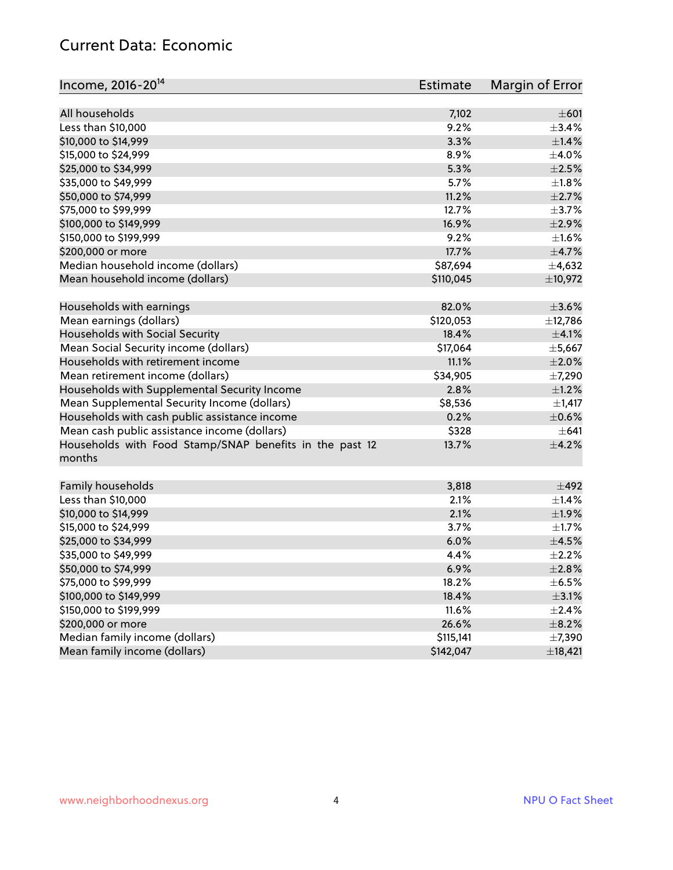#### Current Data: Economic

| Income, 2016-20 <sup>14</sup>                           | Estimate  | Margin of Error |
|---------------------------------------------------------|-----------|-----------------|
|                                                         |           |                 |
| All households                                          | 7,102     | $\pm 601$       |
| Less than \$10,000                                      | 9.2%      | $\pm$ 3.4%      |
| \$10,000 to \$14,999                                    | 3.3%      | ±1.4%           |
| \$15,000 to \$24,999                                    | 8.9%      | $\pm$ 4.0%      |
| \$25,000 to \$34,999                                    | 5.3%      | $\pm 2.5\%$     |
| \$35,000 to \$49,999                                    | 5.7%      | $\pm1.8\%$      |
| \$50,000 to \$74,999                                    | 11.2%     | $\pm 2.7\%$     |
| \$75,000 to \$99,999                                    | 12.7%     | $\pm$ 3.7%      |
| \$100,000 to \$149,999                                  | 16.9%     | ±2.9%           |
| \$150,000 to \$199,999                                  | 9.2%      | $\pm 1.6\%$     |
| \$200,000 or more                                       | 17.7%     | $\pm$ 4.7%      |
| Median household income (dollars)                       | \$87,694  | ±4,632          |
| Mean household income (dollars)                         | \$110,045 | ±10,972         |
| Households with earnings                                | 82.0%     | $\pm 3.6\%$     |
| Mean earnings (dollars)                                 | \$120,053 | ±12,786         |
| Households with Social Security                         | 18.4%     | $\pm$ 4.1%      |
| Mean Social Security income (dollars)                   | \$17,064  | ±5,667          |
| Households with retirement income                       | 11.1%     | $\pm 2.0\%$     |
| Mean retirement income (dollars)                        | \$34,905  | $\pm$ 7,290     |
| Households with Supplemental Security Income            | 2.8%      | $\pm$ 1.2%      |
| Mean Supplemental Security Income (dollars)             | \$8,536   | $\pm$ 1,417     |
| Households with cash public assistance income           | 0.2%      | $\pm$ 0.6%      |
| Mean cash public assistance income (dollars)            | \$328     | $\pm 641$       |
| Households with Food Stamp/SNAP benefits in the past 12 | 13.7%     | $\pm 4.2\%$     |
| months                                                  |           |                 |
| Family households                                       | 3,818     | $\pm$ 492       |
| Less than \$10,000                                      | 2.1%      | $\pm$ 1.4%      |
| \$10,000 to \$14,999                                    | 2.1%      | ±1.9%           |
| \$15,000 to \$24,999                                    | 3.7%      | $\pm 1.7\%$     |
| \$25,000 to \$34,999                                    | 6.0%      | $\pm$ 4.5%      |
| \$35,000 to \$49,999                                    | 4.4%      | $\pm 2.2\%$     |
| \$50,000 to \$74,999                                    | 6.9%      | ±2.8%           |
| \$75,000 to \$99,999                                    | 18.2%     | $\pm$ 6.5%      |
| \$100,000 to \$149,999                                  | 18.4%     | $\pm$ 3.1%      |
| \$150,000 to \$199,999                                  | 11.6%     | $\pm$ 2.4%      |
| \$200,000 or more                                       | 26.6%     | $\pm$ 8.2%      |
| Median family income (dollars)                          | \$115,141 | $\pm$ 7,390     |
| Mean family income (dollars)                            | \$142,047 | ±18,421         |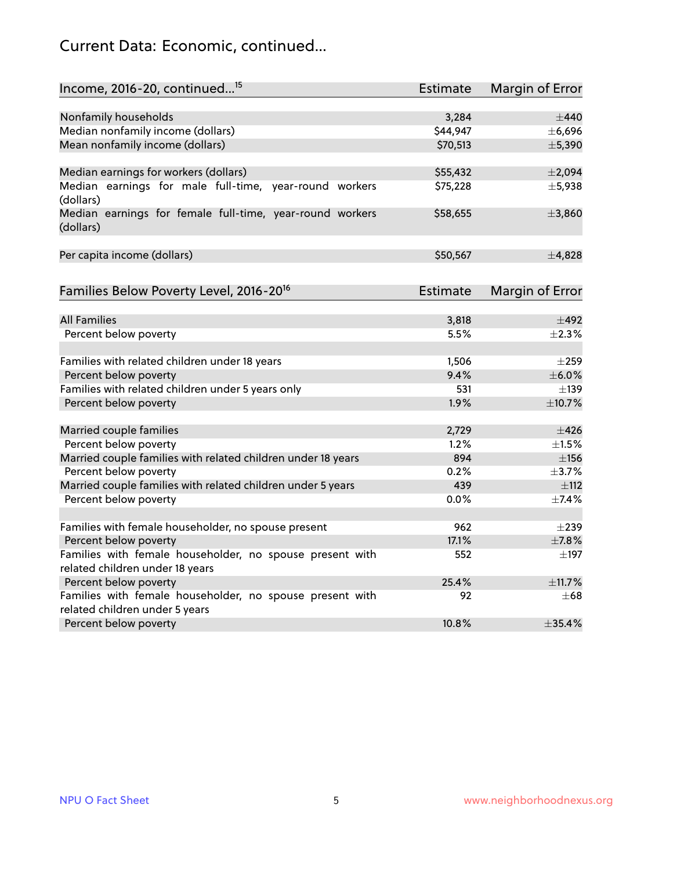## Current Data: Economic, continued...

| Income, 2016-20, continued <sup>15</sup>                              | <b>Estimate</b>   | <b>Margin of Error</b> |
|-----------------------------------------------------------------------|-------------------|------------------------|
|                                                                       |                   | $\pm$ 440              |
| Nonfamily households<br>Median nonfamily income (dollars)             | 3,284<br>\$44,947 | ±6,696                 |
| Mean nonfamily income (dollars)                                       | \$70,513          | ±5,390                 |
|                                                                       |                   |                        |
| Median earnings for workers (dollars)                                 | \$55,432          | ±2,094                 |
| Median earnings for male full-time, year-round workers<br>(dollars)   | \$75,228          | ±5,938                 |
| Median earnings for female full-time, year-round workers<br>(dollars) | \$58,655          | ±3,860                 |
| Per capita income (dollars)                                           | \$50,567          | $\pm$ 4,828            |
| Families Below Poverty Level, 2016-20 <sup>16</sup>                   | <b>Estimate</b>   | <b>Margin of Error</b> |
|                                                                       |                   |                        |
| <b>All Families</b>                                                   | 3,818             | $\pm$ 492              |
| Percent below poverty                                                 | 5.5%              | $\pm 2.3\%$            |
| Families with related children under 18 years                         | 1,506             | $\pm 259$              |
| Percent below poverty                                                 | 9.4%              | $\pm$ 6.0%             |
| Families with related children under 5 years only                     | 531               | $\pm$ 139              |
| Percent below poverty                                                 | 1.9%              | ±10.7%                 |
| Married couple families                                               | 2,729             | $\pm$ 426              |
| Percent below poverty                                                 | 1.2%              | $\pm 1.5\%$            |
| Married couple families with related children under 18 years          | 894               | ±156                   |
| Percent below poverty                                                 | 0.2%              | $\pm$ 3.7%             |
| Married couple families with related children under 5 years           | 439               | ±112                   |
| Percent below poverty                                                 | $0.0\%$           | ±7.4%                  |
| Families with female householder, no spouse present                   | 962               | $\pm 239$              |
| Percent below poverty                                                 | 17.1%             | $\pm$ 7.8%             |
| Families with female householder, no spouse present with              | 552               | $\pm$ 197              |
| related children under 18 years                                       |                   |                        |
| Percent below poverty                                                 | 25.4%             | ±11.7%                 |
| Families with female householder, no spouse present with              | 92                | $\pm 68$               |
| related children under 5 years                                        |                   |                        |
| Percent below poverty                                                 | 10.8%             | ±35.4%                 |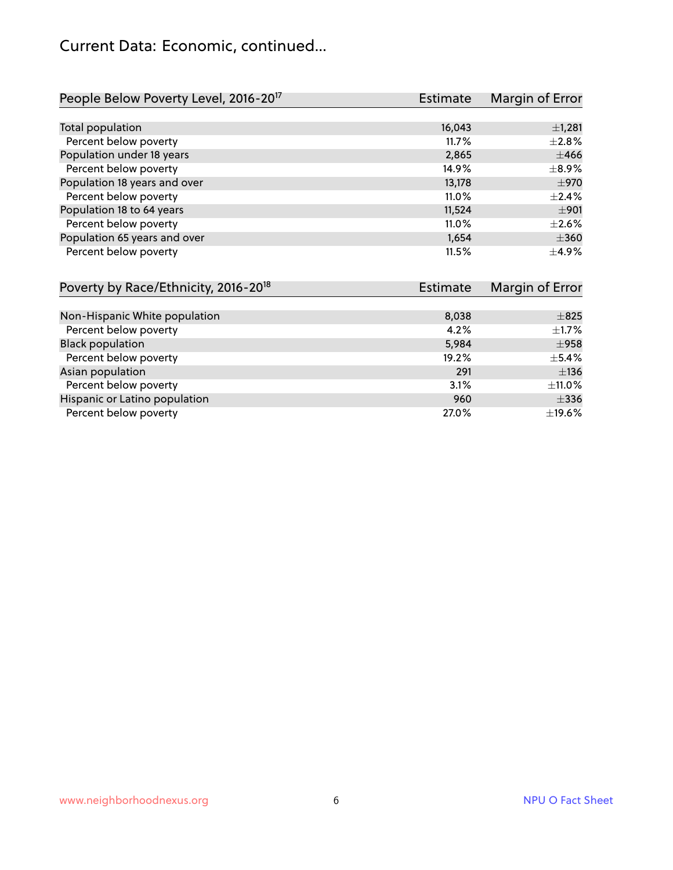## Current Data: Economic, continued...

| People Below Poverty Level, 2016-20 <sup>17</sup> | Estimate | Margin of Error |
|---------------------------------------------------|----------|-----------------|
|                                                   |          |                 |
| Total population                                  | 16,043   | $\pm$ 1,281     |
| Percent below poverty                             | 11.7%    | $\pm 2.8\%$     |
| Population under 18 years                         | 2,865    | $\pm 466$       |
| Percent below poverty                             | 14.9%    | $\pm$ 8.9%      |
| Population 18 years and over                      | 13,178   | ±970            |
| Percent below poverty                             | 11.0%    | $\pm$ 2.4%      |
| Population 18 to 64 years                         | 11,524   | ±901            |
| Percent below poverty                             | 11.0%    | $+2.6%$         |
| Population 65 years and over                      | 1,654    | $\pm 360$       |
| Percent below poverty                             | 11.5%    | $\pm$ 4.9%      |

| Poverty by Race/Ethnicity, 2016-20 <sup>18</sup><br>Estimate |       | Margin of Error |  |
|--------------------------------------------------------------|-------|-----------------|--|
|                                                              |       |                 |  |
| Non-Hispanic White population                                | 8,038 | $\pm$ 825       |  |
| Percent below poverty                                        | 4.2%  | $\pm$ 1.7%      |  |
| <b>Black population</b>                                      | 5,984 | $\pm$ 958       |  |
| Percent below poverty                                        | 19.2% | $\pm$ 5.4%      |  |
| Asian population                                             | 291   | $\pm$ 136       |  |
| Percent below poverty                                        | 3.1%  | ±11.0%          |  |
| Hispanic or Latino population                                | 960   | $\pm$ 336       |  |
| Percent below poverty                                        | 27.0% | $\pm$ 19.6%     |  |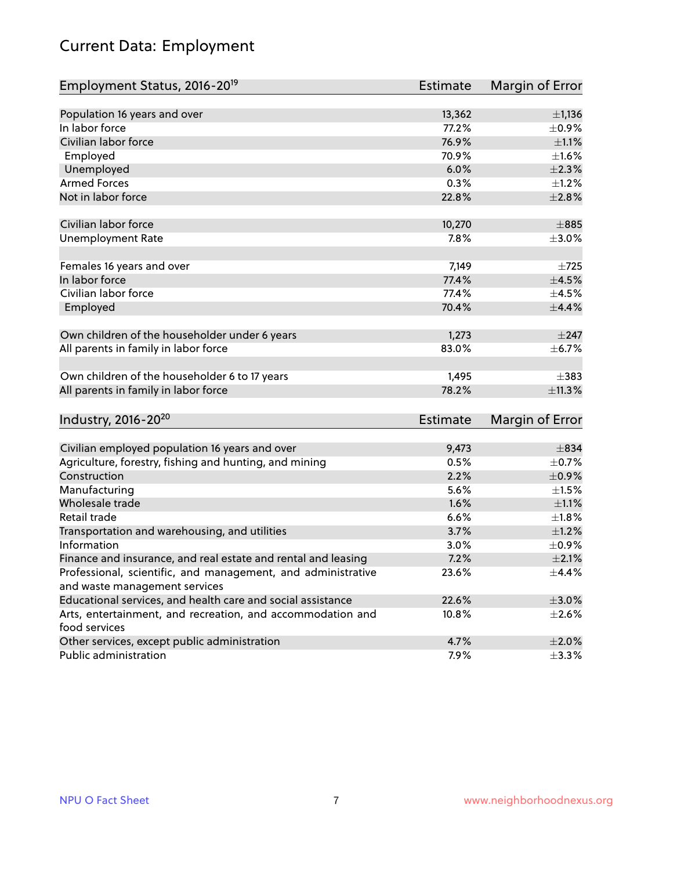## Current Data: Employment

| Employment Status, 2016-20 <sup>19</sup>                                                      | <b>Estimate</b> | Margin of Error |
|-----------------------------------------------------------------------------------------------|-----------------|-----------------|
|                                                                                               |                 |                 |
| Population 16 years and over                                                                  | 13,362          | $\pm$ 1,136     |
| In labor force                                                                                | 77.2%           | $\pm$ 0.9%      |
| Civilian labor force                                                                          | 76.9%           | $\pm 1.1\%$     |
| Employed                                                                                      | 70.9%           | $\pm1.6\%$      |
| Unemployed                                                                                    | 6.0%            | $\pm 2.3\%$     |
| <b>Armed Forces</b>                                                                           | 0.3%            | $\pm$ 1.2%      |
| Not in labor force                                                                            | 22.8%           | $\pm 2.8\%$     |
| Civilian labor force                                                                          | 10,270          | $\pm 885$       |
| <b>Unemployment Rate</b>                                                                      | 7.8%            | $\pm 3.0\%$     |
|                                                                                               |                 |                 |
| Females 16 years and over                                                                     | 7,149           | $\pm 725$       |
| In labor force                                                                                | 77.4%           | $\pm 4.5\%$     |
| Civilian labor force                                                                          | 77.4%           | $\pm 4.5\%$     |
| Employed                                                                                      | 70.4%           | $\pm$ 4.4%      |
| Own children of the householder under 6 years                                                 | 1,273           | $\pm$ 247       |
| All parents in family in labor force                                                          | 83.0%           | $\pm$ 6.7%      |
| Own children of the householder 6 to 17 years                                                 | 1,495           | $\pm$ 383       |
| All parents in family in labor force                                                          | 78.2%           | ±11.3%          |
|                                                                                               |                 |                 |
| Industry, 2016-20 <sup>20</sup>                                                               | Estimate        | Margin of Error |
| Civilian employed population 16 years and over                                                | 9,473           | $\pm$ 834       |
| Agriculture, forestry, fishing and hunting, and mining                                        | 0.5%            | $\pm$ 0.7%      |
| Construction                                                                                  | 2.2%            | $\pm$ 0.9%      |
| Manufacturing                                                                                 | 5.6%            | $\pm 1.5\%$     |
| Wholesale trade                                                                               | 1.6%            | $\pm 1.1\%$     |
| Retail trade                                                                                  | 6.6%            | ±1.8%           |
| Transportation and warehousing, and utilities                                                 | 3.7%            | $\pm 1.2\%$     |
| Information                                                                                   | 3.0%            | ±0.9%           |
|                                                                                               | 7.2%            | $\pm 2.1\%$     |
| Finance and insurance, and real estate and rental and leasing                                 | 23.6%           | $\pm$ 4.4%      |
| Professional, scientific, and management, and administrative<br>and waste management services |                 |                 |
| Educational services, and health care and social assistance                                   | 22.6%           | $\pm 3.0\%$     |
| Arts, entertainment, and recreation, and accommodation and                                    | 10.8%           | $\pm 2.6\%$     |
| food services                                                                                 |                 |                 |
| Other services, except public administration                                                  | 4.7%            | $\pm 2.0\%$     |
| Public administration                                                                         | 7.9%            | $\pm$ 3.3%      |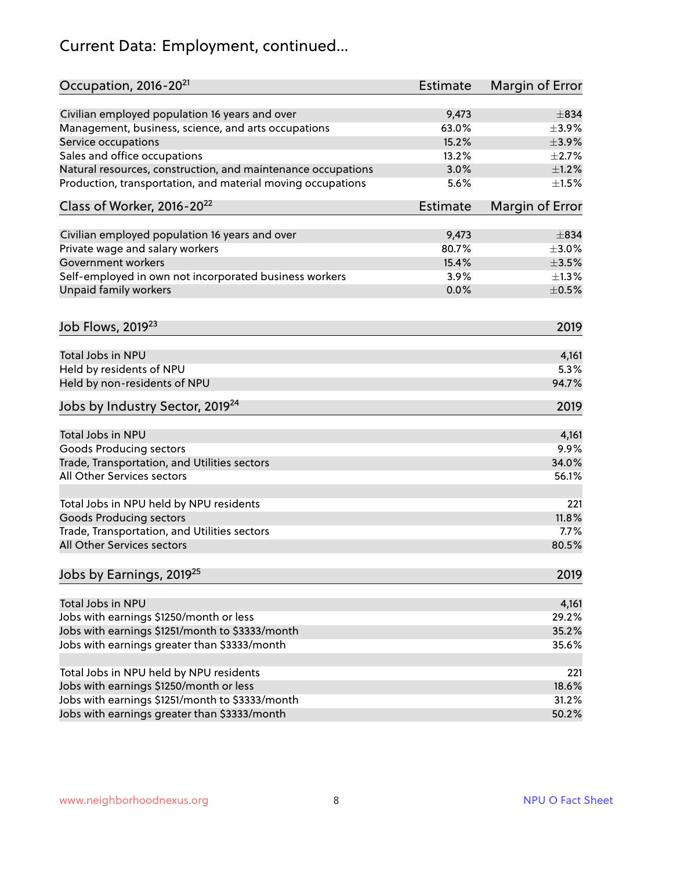## Current Data: Employment, continued...

| Occupation, 2016-20 <sup>21</sup>                            | <b>Estimate</b> | Margin of Error |
|--------------------------------------------------------------|-----------------|-----------------|
| Civilian employed population 16 years and over               | 9,473           | $\pm$ 834       |
| Management, business, science, and arts occupations          | 63.0%           | $\pm$ 3.9%      |
| Service occupations                                          | 15.2%           | $\pm$ 3.9%      |
| Sales and office occupations                                 | 13.2%           | $\pm 2.7\%$     |
| Natural resources, construction, and maintenance occupations | 3.0%            | $\pm 1.2\%$     |
| Production, transportation, and material moving occupations  | 5.6%            | $\pm 1.5\%$     |
| Class of Worker, 2016-20 <sup>22</sup>                       | <b>Estimate</b> | Margin of Error |
|                                                              |                 |                 |
| Civilian employed population 16 years and over               | 9,473           | $\pm$ 834       |
| Private wage and salary workers                              | 80.7%           | $\pm 3.0\%$     |
| Government workers                                           | 15.4%           | $\pm 3.5\%$     |
| Self-employed in own not incorporated business workers       | 3.9%            | $\pm 1.3\%$     |
| Unpaid family workers                                        | 0.0%            | $\pm$ 0.5%      |
| Job Flows, 2019 <sup>23</sup>                                |                 | 2019            |
| Total Jobs in NPU                                            |                 | 4,161           |
| Held by residents of NPU                                     |                 | 5.3%            |
| Held by non-residents of NPU                                 |                 | 94.7%           |
|                                                              |                 |                 |
| Jobs by Industry Sector, 2019 <sup>24</sup>                  |                 | 2019            |
| Total Jobs in NPU                                            |                 | 4,161           |
| <b>Goods Producing sectors</b>                               |                 | 9.9%            |
| Trade, Transportation, and Utilities sectors                 |                 | 34.0%           |
| All Other Services sectors                                   |                 | 56.1%           |
| Total Jobs in NPU held by NPU residents                      |                 | 221             |
| <b>Goods Producing sectors</b>                               |                 | 11.8%           |
| Trade, Transportation, and Utilities sectors                 |                 | 7.7%            |
| All Other Services sectors                                   |                 | 80.5%           |
| Jobs by Earnings, 2019 <sup>25</sup>                         |                 | 2019            |
| Total Jobs in NPU                                            |                 | 4,161           |
| Jobs with earnings \$1250/month or less                      |                 | 29.2%           |
| Jobs with earnings \$1251/month to \$3333/month              |                 | 35.2%           |
|                                                              |                 | 35.6%           |
| Jobs with earnings greater than \$3333/month                 |                 |                 |
| Total Jobs in NPU held by NPU residents                      |                 | 221             |
| Jobs with earnings \$1250/month or less                      |                 | 18.6%           |
| Jobs with earnings \$1251/month to \$3333/month              |                 | 31.2%           |
| Jobs with earnings greater than \$3333/month                 |                 | 50.2%           |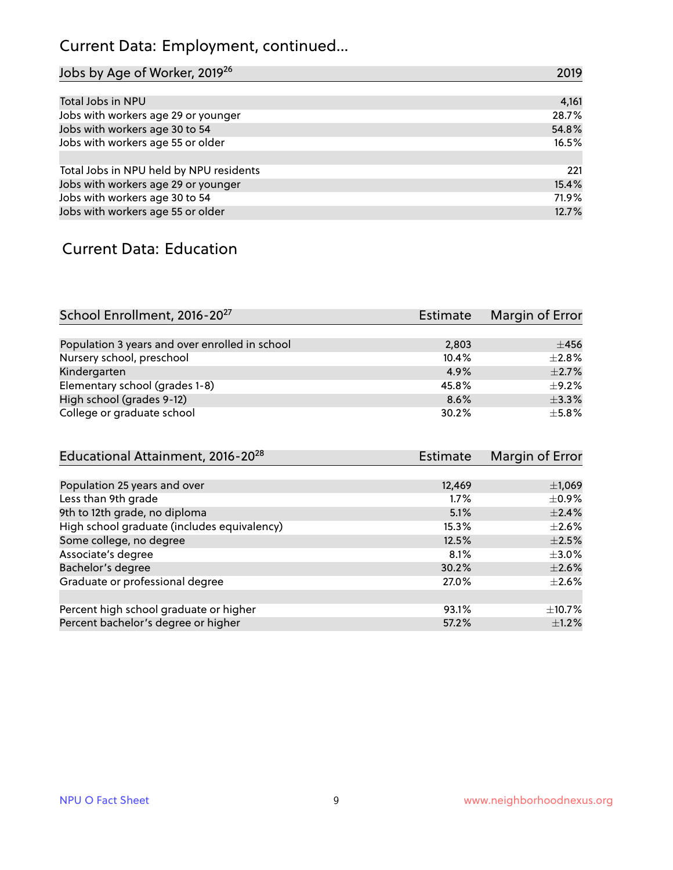## Current Data: Employment, continued...

| Jobs by Age of Worker, 2019 <sup>26</sup> | 2019  |
|-------------------------------------------|-------|
|                                           |       |
| Total Jobs in NPU                         | 4,161 |
| Jobs with workers age 29 or younger       | 28.7% |
| Jobs with workers age 30 to 54            | 54.8% |
| Jobs with workers age 55 or older         | 16.5% |
|                                           |       |
| Total Jobs in NPU held by NPU residents   | 221   |
| Jobs with workers age 29 or younger       | 15.4% |
| Jobs with workers age 30 to 54            | 71.9% |
| Jobs with workers age 55 or older         | 12.7% |

#### Current Data: Education

| School Enrollment, 2016-20 <sup>27</sup>       | Estimate | Margin of Error |
|------------------------------------------------|----------|-----------------|
|                                                |          |                 |
| Population 3 years and over enrolled in school | 2,803    | $+456$          |
| Nursery school, preschool                      | 10.4%    | $\pm 2.8\%$     |
| Kindergarten                                   | 4.9%     | $\pm 2.7\%$     |
| Elementary school (grades 1-8)                 | 45.8%    | $\pm$ 9.2%      |
| High school (grades 9-12)                      | 8.6%     | $\pm$ 3.3%      |
| College or graduate school                     | 30.2%    | $\pm$ 5.8%      |

| Educational Attainment, 2016-20 <sup>28</sup> | <b>Estimate</b> | Margin of Error |
|-----------------------------------------------|-----------------|-----------------|
|                                               |                 |                 |
| Population 25 years and over                  | 12,469          | $\pm$ 1,069     |
| Less than 9th grade                           | 1.7%            | $\pm$ 0.9%      |
| 9th to 12th grade, no diploma                 | 5.1%            | $\pm 2.4\%$     |
| High school graduate (includes equivalency)   | 15.3%           | $\pm 2.6\%$     |
| Some college, no degree                       | 12.5%           | $\pm 2.5\%$     |
| Associate's degree                            | 8.1%            | $\pm$ 3.0%      |
| Bachelor's degree                             | 30.2%           | $\pm 2.6\%$     |
| Graduate or professional degree               | 27.0%           | $\pm 2.6\%$     |
|                                               |                 |                 |
| Percent high school graduate or higher        | 93.1%           | $\pm$ 10.7%     |
| Percent bachelor's degree or higher           | 57.2%           | $\pm$ 1.2%      |
|                                               |                 |                 |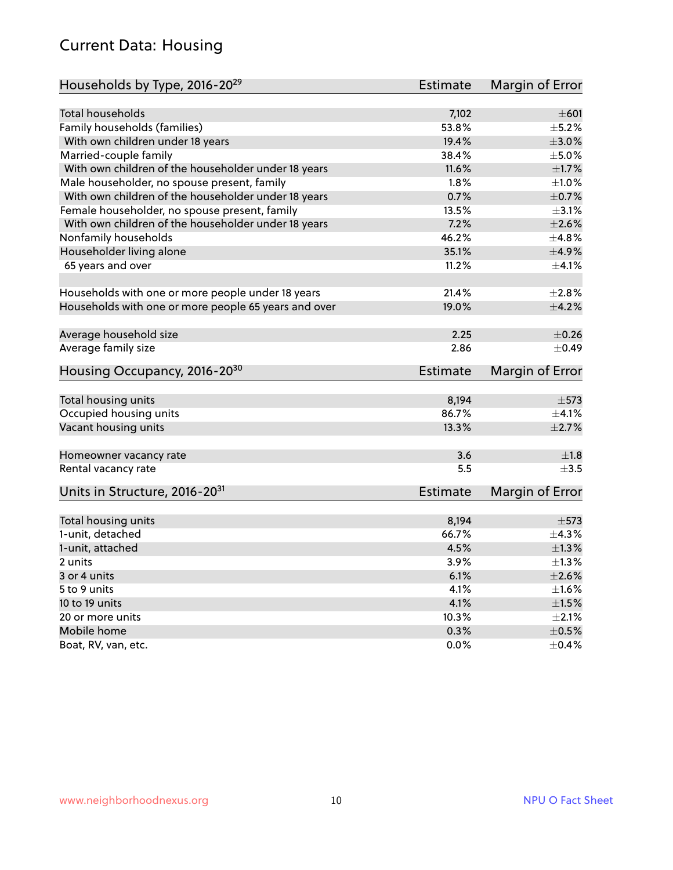#### Current Data: Housing

| Households by Type, 2016-20 <sup>29</sup>            | Estimate        | Margin of Error |
|------------------------------------------------------|-----------------|-----------------|
|                                                      |                 |                 |
| <b>Total households</b>                              | 7,102           | $\pm 601$       |
| Family households (families)                         | 53.8%           | $\pm$ 5.2%      |
| With own children under 18 years                     | 19.4%           | $\pm 3.0\%$     |
| Married-couple family                                | 38.4%           | $\pm$ 5.0%      |
| With own children of the householder under 18 years  | 11.6%           | $\pm1.7\%$      |
| Male householder, no spouse present, family          | 1.8%            | $\pm1.0\%$      |
| With own children of the householder under 18 years  | 0.7%            | $\pm$ 0.7%      |
| Female householder, no spouse present, family        | 13.5%           | $\pm$ 3.1%      |
| With own children of the householder under 18 years  | 7.2%            | $\pm 2.6\%$     |
| Nonfamily households                                 | 46.2%           | ±4.8%           |
| Householder living alone                             | 35.1%           | $\pm$ 4.9%      |
| 65 years and over                                    | 11.2%           | $\pm 4.1\%$     |
| Households with one or more people under 18 years    | 21.4%           | $\pm 2.8\%$     |
| Households with one or more people 65 years and over | 19.0%           | $\pm$ 4.2%      |
|                                                      |                 |                 |
| Average household size                               | 2.25            | $\pm$ 0.26      |
| Average family size                                  | 2.86            | $\pm$ 0.49      |
| Housing Occupancy, 2016-20 <sup>30</sup>             | Estimate        | Margin of Error |
|                                                      |                 |                 |
| Total housing units                                  | 8,194           | $\pm$ 573       |
| Occupied housing units                               | 86.7%           | $\pm$ 4.1%      |
| Vacant housing units                                 | 13.3%           | $\pm 2.7\%$     |
| Homeowner vacancy rate                               | 3.6             | $\pm 1.8$       |
| Rental vacancy rate                                  | 5.5             | $\pm$ 3.5       |
| Units in Structure, 2016-20 <sup>31</sup>            | <b>Estimate</b> | Margin of Error |
| Total housing units                                  | 8,194           | $\pm$ 573       |
| 1-unit, detached                                     | 66.7%           | ±4.3%           |
|                                                      |                 |                 |
| 1-unit, attached                                     | 4.5%            | $\pm$ 1.3%      |
| 2 units                                              | 3.9%            | $\pm 1.3\%$     |
| 3 or 4 units                                         | 6.1%            | $\pm 2.6\%$     |
| 5 to 9 units                                         | 4.1%            | $\pm 1.6\%$     |
| 10 to 19 units                                       | 4.1%            | $\pm 1.5\%$     |
| 20 or more units                                     | 10.3%           | $\pm 2.1\%$     |
| Mobile home                                          | 0.3%            | $\pm$ 0.5%      |
| Boat, RV, van, etc.                                  | 0.0%            | $\pm$ 0.4%      |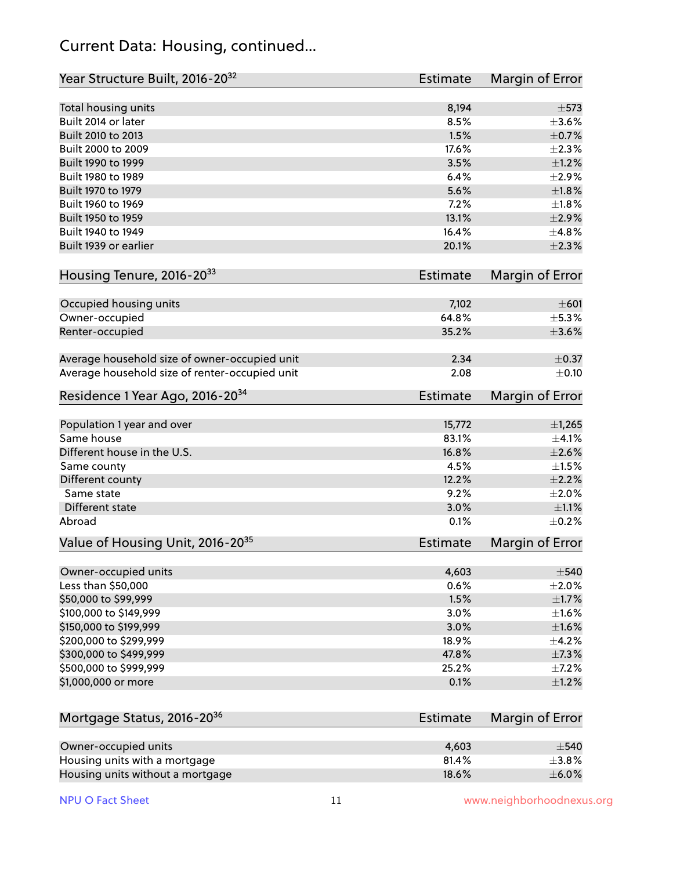#### Current Data: Housing, continued...

| Year Structure Built, 2016-20 <sup>32</sup>    | <b>Estimate</b> | Margin of Error |
|------------------------------------------------|-----------------|-----------------|
| Total housing units                            | 8,194           | $\pm$ 573       |
| Built 2014 or later                            | 8.5%            | $\pm 3.6\%$     |
| Built 2010 to 2013                             | 1.5%            | $\pm$ 0.7%      |
| Built 2000 to 2009                             | 17.6%           | $\pm 2.3\%$     |
| Built 1990 to 1999                             | 3.5%            | $\pm 1.2\%$     |
| Built 1980 to 1989                             | 6.4%            | $\pm 2.9\%$     |
| Built 1970 to 1979                             | 5.6%            | $\pm1.8\%$      |
| Built 1960 to 1969                             | 7.2%            | $\pm1.8\%$      |
| Built 1950 to 1959                             | 13.1%           | $\pm 2.9\%$     |
| Built 1940 to 1949                             | 16.4%           | ±4.8%           |
| Built 1939 or earlier                          | 20.1%           | $\pm 2.3\%$     |
| Housing Tenure, 2016-2033                      | <b>Estimate</b> | Margin of Error |
|                                                |                 |                 |
| Occupied housing units                         | 7,102           | $\pm 601$       |
| Owner-occupied                                 | 64.8%           | $\pm$ 5.3%      |
| Renter-occupied                                | 35.2%           | $\pm 3.6\%$     |
| Average household size of owner-occupied unit  | 2.34            | $\pm$ 0.37      |
| Average household size of renter-occupied unit | 2.08            | $\pm$ 0.10      |
| Residence 1 Year Ago, 2016-20 <sup>34</sup>    | <b>Estimate</b> | Margin of Error |
| Population 1 year and over                     | 15,772          | $\pm$ 1,265     |
| Same house                                     | 83.1%           | $\pm$ 4.1%      |
| Different house in the U.S.                    | 16.8%           | $\pm 2.6\%$     |
| Same county                                    | 4.5%            | $\pm1.5\%$      |
| Different county                               | 12.2%           | $\pm 2.2\%$     |
| Same state                                     | 9.2%            | $\pm 2.0\%$     |
| Different state                                | 3.0%            | $\pm 1.1\%$     |
| Abroad                                         | 0.1%            | $\pm$ 0.2%      |
| Value of Housing Unit, 2016-20 <sup>35</sup>   | <b>Estimate</b> | Margin of Error |
| Owner-occupied units                           | 4,603           | $\pm$ 540       |
| Less than \$50,000                             | 0.6%            | $\pm 2.0\%$     |
| \$50,000 to \$99,999                           | 1.5%            | ±1.7%           |
| \$100,000 to \$149,999                         | 3.0%            | $\pm 1.6\%$     |
| \$150,000 to \$199,999                         | 3.0%            | $\pm 1.6\%$     |
| \$200,000 to \$299,999                         | 18.9%           | $\pm$ 4.2%      |
| \$300,000 to \$499,999                         | 47.8%           | ±7.3%           |
| \$500,000 to \$999,999                         | 25.2%           | $\pm$ 7.2%      |
| \$1,000,000 or more                            | 0.1%            | $\pm 1.2\%$     |
|                                                |                 |                 |
| Mortgage Status, 2016-20 <sup>36</sup>         | <b>Estimate</b> | Margin of Error |
| Owner-occupied units                           | 4,603           | $\pm$ 540       |
| Housing units with a mortgage                  | 81.4%           | $\pm$ 3.8%      |
| Housing units without a mortgage               | 18.6%           | $\pm$ 6.0%      |

Housing units without a mortgage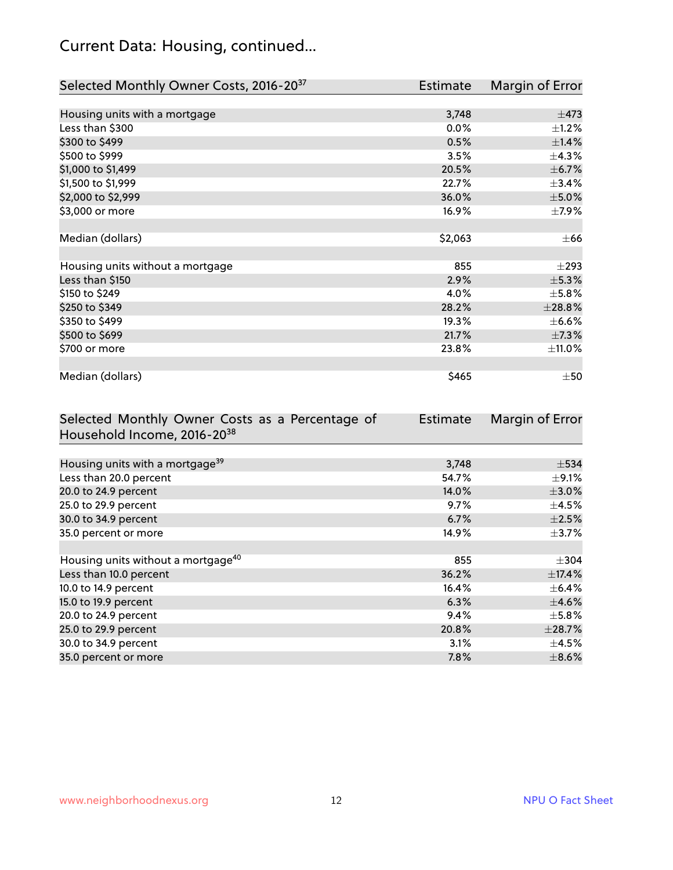## Current Data: Housing, continued...

| Selected Monthly Owner Costs, 2016-20 <sup>37</sup> | Estimate | Margin of Error |
|-----------------------------------------------------|----------|-----------------|
|                                                     |          |                 |
| Housing units with a mortgage                       | 3,748    | $\pm$ 473       |
| Less than \$300                                     | 0.0%     | $\pm$ 1.2%      |
| \$300 to \$499                                      | 0.5%     | $\pm$ 1.4%      |
| \$500 to \$999                                      | 3.5%     | $\pm$ 4.3%      |
| \$1,000 to \$1,499                                  | 20.5%    | $\pm$ 6.7%      |
| \$1,500 to \$1,999                                  | 22.7%    | ±3.4%           |
| \$2,000 to \$2,999                                  | 36.0%    | $\pm$ 5.0%      |
| \$3,000 or more                                     | 16.9%    | $\pm$ 7.9%      |
|                                                     |          |                 |
| Median (dollars)                                    | \$2,063  | $\pm$ 66        |
|                                                     |          |                 |
| Housing units without a mortgage                    | 855      | $\pm$ 293       |
| Less than \$150                                     | 2.9%     | $\pm$ 5.3%      |
| \$150 to \$249                                      | 4.0%     | $\pm$ 5.8%      |
| \$250 to \$349                                      | 28.2%    | ±28.8%          |
| \$350 to \$499                                      | 19.3%    | $\pm$ 6.6%      |
| \$500 to \$699                                      | 21.7%    | $\pm$ 7.3%      |
| \$700 or more                                       | 23.8%    | ±11.0%          |
|                                                     |          |                 |
| Median (dollars)                                    | \$465    | $\pm 50$        |

| Selected Monthly Owner Costs as a Percentage of | Estimate | Margin of Error |
|-------------------------------------------------|----------|-----------------|
| Household Income, 2016-20 <sup>38</sup>         |          |                 |
|                                                 |          |                 |
| Housing units with a mortgage <sup>39</sup>     | 3,748    | $\pm$ 534       |
| Less than 20.0 percent                          | 54.7%    | $\pm$ 9.1%      |
| 20.0 to 24.9 percent                            | 14.0%    | $\pm 3.0\%$     |
| 25.0 to 29.9 percent                            | 9.7%     | $\pm$ 4.5%      |
| 30.0 to 34.9 percent                            | 6.7%     | $\pm 2.5\%$     |
| 35.0 percent or more                            | 14.9%    | $\pm$ 3.7%      |
|                                                 |          |                 |
| Housing units without a mortgage <sup>40</sup>  | 855      | $\pm 304$       |
| Less than 10.0 percent                          | 36.2%    | ±17.4%          |
| 10.0 to 14.9 percent                            | 16.4%    | $\pm$ 6.4%      |
| 15.0 to 19.9 percent                            | 6.3%     | $\pm$ 4.6%      |
| 20.0 to 24.9 percent                            | 9.4%     | $\pm$ 5.8%      |
| 25.0 to 29.9 percent                            | 20.8%    | ±28.7%          |
| 30.0 to 34.9 percent                            | 3.1%     | $\pm$ 4.5%      |
| 35.0 percent or more                            | 7.8%     | $\pm$ 8.6%      |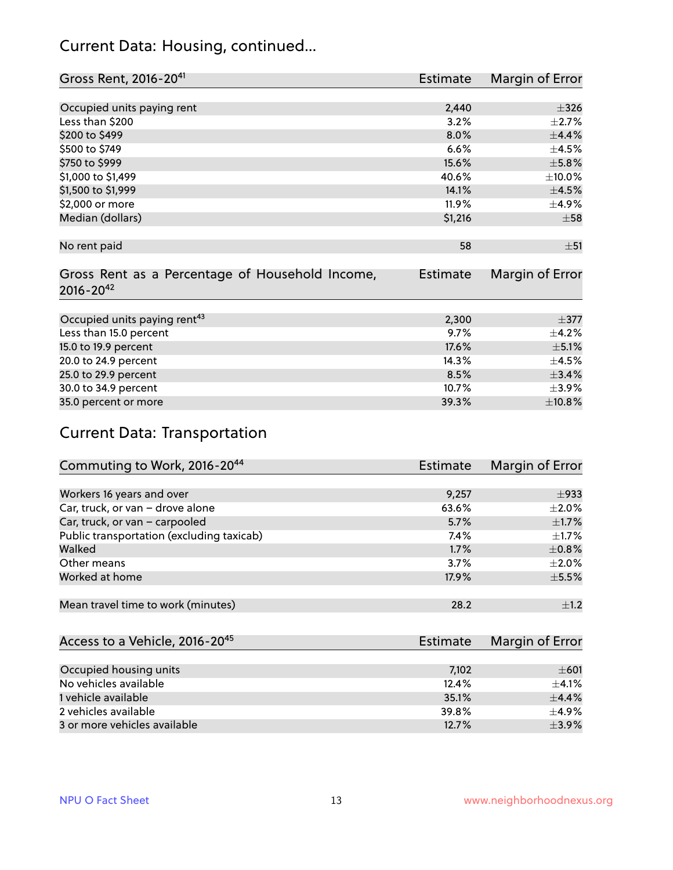#### Current Data: Housing, continued...

| Gross Rent, 2016-20 <sup>41</sup>               | <b>Estimate</b> | Margin of Error |
|-------------------------------------------------|-----------------|-----------------|
|                                                 |                 |                 |
| Occupied units paying rent                      | 2,440           | $\pm$ 326       |
| Less than \$200                                 | 3.2%            | $\pm 2.7\%$     |
| \$200 to \$499                                  | 8.0%            | $\pm$ 4.4%      |
| \$500 to \$749                                  | 6.6%            | $\pm$ 4.5%      |
| \$750 to \$999                                  | 15.6%           | $\pm$ 5.8%      |
| \$1,000 to \$1,499                              | 40.6%           | $\pm$ 10.0%     |
| \$1,500 to \$1,999                              | 14.1%           | $\pm 4.5\%$     |
| \$2,000 or more                                 | 11.9%           | $\pm$ 4.9%      |
| Median (dollars)                                | \$1,216         | $\pm$ 58        |
|                                                 |                 |                 |
| No rent paid                                    | 58              | ±51             |
|                                                 |                 |                 |
| Gross Rent as a Percentage of Household Income, | <b>Estimate</b> | Margin of Error |
| $2016 - 20^{42}$                                |                 |                 |
|                                                 |                 |                 |
| Occupied units paying rent <sup>43</sup>        | 2,300           | $\pm$ 377       |
| Less than 15.0 percent                          | 9.7%            | $\pm$ 4.2%      |
| 15.0 to 19.9 percent                            | 17.6%           | $\pm$ 5.1%      |
| 20.0 to 24.9 percent                            | 14.3%           | $\pm$ 4.5%      |
| 25.0 to 29.9 percent                            | 8.5%            | ±3.4%           |
| 30.0 to 34.9 percent                            | 10.7%           | $\pm$ 3.9%      |
| 35.0 percent or more                            | 39.3%           | ±10.8%          |

## Current Data: Transportation

| Commuting to Work, 2016-20 <sup>44</sup>  | <b>Estimate</b> | Margin of Error |
|-------------------------------------------|-----------------|-----------------|
|                                           |                 |                 |
| Workers 16 years and over                 | 9,257           | $\pm$ 933       |
| Car, truck, or van - drove alone          | 63.6%           | $\pm 2.0\%$     |
| Car, truck, or van - carpooled            | 5.7%            | $\pm$ 1.7%      |
| Public transportation (excluding taxicab) | $7.4\%$         | $\pm 1.7\%$     |
| Walked                                    | 1.7%            | $\pm$ 0.8%      |
| Other means                               | 3.7%            | $\pm 2.0\%$     |
| Worked at home                            | 17.9%           | $\pm$ 5.5%      |
|                                           |                 |                 |
| Mean travel time to work (minutes)        | 28.2            | $\pm 1.2$       |

| Access to a Vehicle, 2016-20 <sup>45</sup> | Estimate | Margin of Error |
|--------------------------------------------|----------|-----------------|
|                                            |          |                 |
| Occupied housing units                     | 7,102    | $\pm 601$       |
| No vehicles available                      | 12.4%    | $+4.1%$         |
| 1 vehicle available                        | 35.1%    | $\pm$ 4.4%      |
| 2 vehicles available                       | 39.8%    | $+4.9%$         |
| 3 or more vehicles available               | 12.7%    | $+3.9%$         |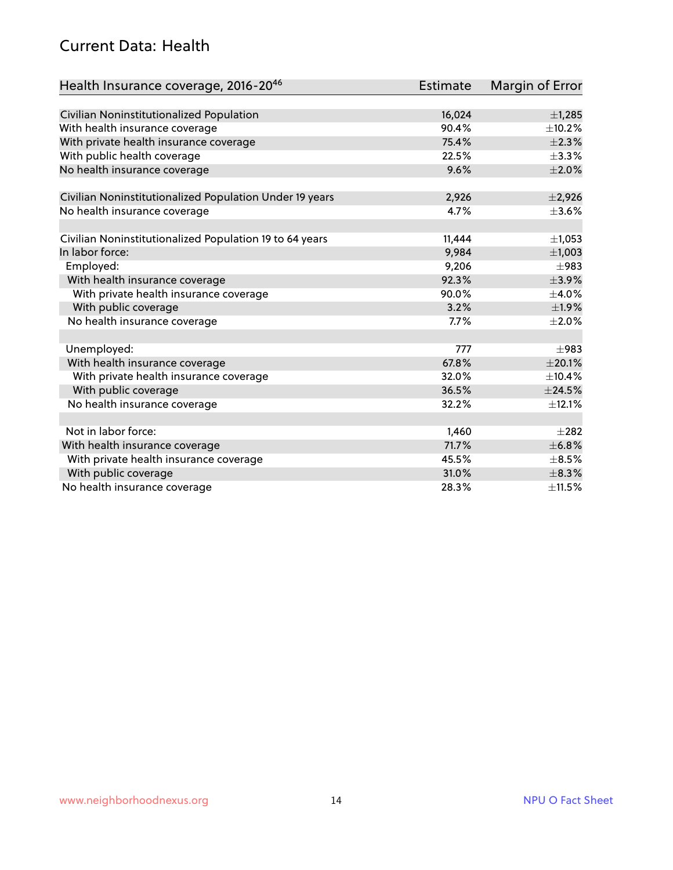#### Current Data: Health

| Health Insurance coverage, 2016-2046                    | Estimate | Margin of Error |
|---------------------------------------------------------|----------|-----------------|
|                                                         |          |                 |
| Civilian Noninstitutionalized Population                | 16,024   | ±1,285          |
| With health insurance coverage                          | 90.4%    | $\pm$ 10.2%     |
| With private health insurance coverage                  | 75.4%    | $\pm 2.3\%$     |
| With public health coverage                             | 22.5%    | $\pm$ 3.3%      |
| No health insurance coverage                            | 9.6%     | $\pm 2.0\%$     |
| Civilian Noninstitutionalized Population Under 19 years | 2,926    | $\pm 2,926$     |
| No health insurance coverage                            | 4.7%     | $\pm 3.6\%$     |
|                                                         |          |                 |
| Civilian Noninstitutionalized Population 19 to 64 years | 11,444   | $\pm$ 1,053     |
| In labor force:                                         | 9,984    | ±1,003          |
| Employed:                                               | 9,206    | $\pm$ 983       |
| With health insurance coverage                          | 92.3%    | $\pm$ 3.9%      |
| With private health insurance coverage                  | 90.0%    | $\pm$ 4.0%      |
| With public coverage                                    | 3.2%     | $\pm$ 1.9%      |
| No health insurance coverage                            | 7.7%     | $\pm 2.0\%$     |
|                                                         |          |                 |
| Unemployed:                                             | 777      | $\pm$ 983       |
| With health insurance coverage                          | 67.8%    | $\pm 20.1\%$    |
| With private health insurance coverage                  | 32.0%    | ±10.4%          |
| With public coverage                                    | 36.5%    | $\pm$ 24.5%     |
| No health insurance coverage                            | 32.2%    | ±12.1%          |
|                                                         |          |                 |
| Not in labor force:                                     | 1,460    | $\pm 282$       |
| With health insurance coverage                          | 71.7%    | ±6.8%           |
| With private health insurance coverage                  | 45.5%    | $\pm$ 8.5%      |
| With public coverage                                    | 31.0%    | $\pm$ 8.3%      |
| No health insurance coverage                            | 28.3%    | ±11.5%          |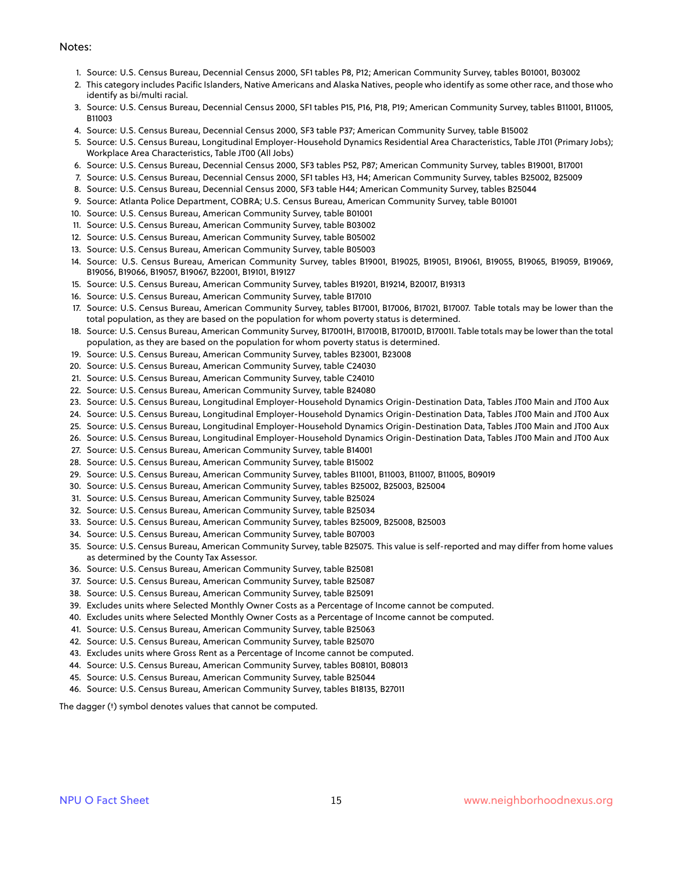#### Notes:

- 1. Source: U.S. Census Bureau, Decennial Census 2000, SF1 tables P8, P12; American Community Survey, tables B01001, B03002
- 2. This category includes Pacific Islanders, Native Americans and Alaska Natives, people who identify as some other race, and those who identify as bi/multi racial.
- 3. Source: U.S. Census Bureau, Decennial Census 2000, SF1 tables P15, P16, P18, P19; American Community Survey, tables B11001, B11005, B11003
- 4. Source: U.S. Census Bureau, Decennial Census 2000, SF3 table P37; American Community Survey, table B15002
- 5. Source: U.S. Census Bureau, Longitudinal Employer-Household Dynamics Residential Area Characteristics, Table JT01 (Primary Jobs); Workplace Area Characteristics, Table JT00 (All Jobs)
- 6. Source: U.S. Census Bureau, Decennial Census 2000, SF3 tables P52, P87; American Community Survey, tables B19001, B17001
- 7. Source: U.S. Census Bureau, Decennial Census 2000, SF1 tables H3, H4; American Community Survey, tables B25002, B25009
- 8. Source: U.S. Census Bureau, Decennial Census 2000, SF3 table H44; American Community Survey, tables B25044
- 9. Source: Atlanta Police Department, COBRA; U.S. Census Bureau, American Community Survey, table B01001
- 10. Source: U.S. Census Bureau, American Community Survey, table B01001
- 11. Source: U.S. Census Bureau, American Community Survey, table B03002
- 12. Source: U.S. Census Bureau, American Community Survey, table B05002
- 13. Source: U.S. Census Bureau, American Community Survey, table B05003
- 14. Source: U.S. Census Bureau, American Community Survey, tables B19001, B19025, B19051, B19061, B19055, B19065, B19059, B19069, B19056, B19066, B19057, B19067, B22001, B19101, B19127
- 15. Source: U.S. Census Bureau, American Community Survey, tables B19201, B19214, B20017, B19313
- 16. Source: U.S. Census Bureau, American Community Survey, table B17010
- 17. Source: U.S. Census Bureau, American Community Survey, tables B17001, B17006, B17021, B17007. Table totals may be lower than the total population, as they are based on the population for whom poverty status is determined.
- 18. Source: U.S. Census Bureau, American Community Survey, B17001H, B17001B, B17001D, B17001I. Table totals may be lower than the total population, as they are based on the population for whom poverty status is determined.
- 19. Source: U.S. Census Bureau, American Community Survey, tables B23001, B23008
- 20. Source: U.S. Census Bureau, American Community Survey, table C24030
- 21. Source: U.S. Census Bureau, American Community Survey, table C24010
- 22. Source: U.S. Census Bureau, American Community Survey, table B24080
- 23. Source: U.S. Census Bureau, Longitudinal Employer-Household Dynamics Origin-Destination Data, Tables JT00 Main and JT00 Aux
- 24. Source: U.S. Census Bureau, Longitudinal Employer-Household Dynamics Origin-Destination Data, Tables JT00 Main and JT00 Aux
- 25. Source: U.S. Census Bureau, Longitudinal Employer-Household Dynamics Origin-Destination Data, Tables JT00 Main and JT00 Aux
- 26. Source: U.S. Census Bureau, Longitudinal Employer-Household Dynamics Origin-Destination Data, Tables JT00 Main and JT00 Aux
- 27. Source: U.S. Census Bureau, American Community Survey, table B14001
- 28. Source: U.S. Census Bureau, American Community Survey, table B15002
- 29. Source: U.S. Census Bureau, American Community Survey, tables B11001, B11003, B11007, B11005, B09019
- 30. Source: U.S. Census Bureau, American Community Survey, tables B25002, B25003, B25004
- 31. Source: U.S. Census Bureau, American Community Survey, table B25024
- 32. Source: U.S. Census Bureau, American Community Survey, table B25034
- 33. Source: U.S. Census Bureau, American Community Survey, tables B25009, B25008, B25003
- 34. Source: U.S. Census Bureau, American Community Survey, table B07003
- 35. Source: U.S. Census Bureau, American Community Survey, table B25075. This value is self-reported and may differ from home values as determined by the County Tax Assessor.
- 36. Source: U.S. Census Bureau, American Community Survey, table B25081
- 37. Source: U.S. Census Bureau, American Community Survey, table B25087
- 38. Source: U.S. Census Bureau, American Community Survey, table B25091
- 39. Excludes units where Selected Monthly Owner Costs as a Percentage of Income cannot be computed.
- 40. Excludes units where Selected Monthly Owner Costs as a Percentage of Income cannot be computed.
- 41. Source: U.S. Census Bureau, American Community Survey, table B25063
- 42. Source: U.S. Census Bureau, American Community Survey, table B25070
- 43. Excludes units where Gross Rent as a Percentage of Income cannot be computed.
- 44. Source: U.S. Census Bureau, American Community Survey, tables B08101, B08013
- 45. Source: U.S. Census Bureau, American Community Survey, table B25044
- 46. Source: U.S. Census Bureau, American Community Survey, tables B18135, B27011

The dagger (†) symbol denotes values that cannot be computed.